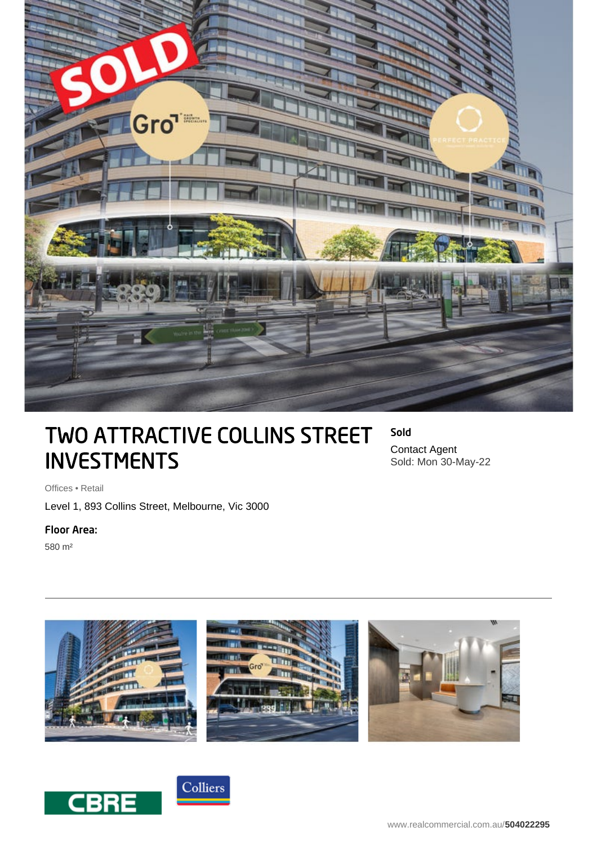

# TWO ATTRACTIVE COLLINS STREET INVESTMENTS

Sold Contact Agent Sold: Mon 30-May-22

Offices • Retail

Level 1, 893 Collins Street, Melbourne, Vic 3000

## Floor Area:

580 m²